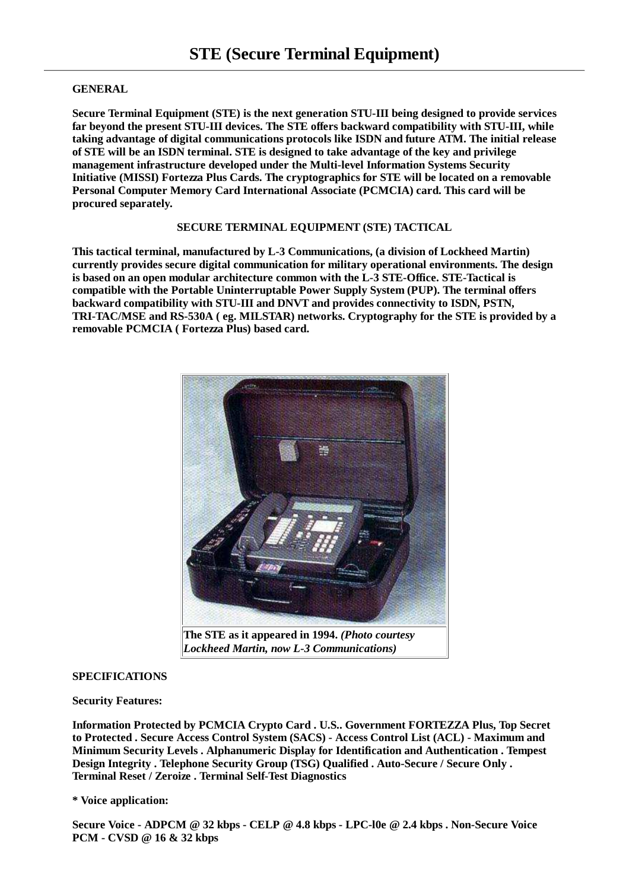## **GENERAL**

**Secure Terminal Equipment (STE) is the next generation STU-III being designed to provide services far beyond the present STU-III devices. The STE offers backward compatibility with STU-III, while taking advantage of digital communications protocols like ISDN and future ATM. The initial release of STE will be an ISDN terminal. STE is designed to take advantage of the key and privilege management infrastructure developed under the Multi-level Information Systems Security Initiative (MISSI) Fortezza Plus Cards. The cryptographics for STE will be located on a removable Personal Computer Memory Card International Associate (PCMCIA) card. This card will be procured separately.**

### **SECURE TERMINAL EQUIPMENT (STE) TACTICAL**

**This tactical terminal, manufactured by L-3 Communications, (a division of Lockheed Martin) currently provides secure digital communication for military operational environments. The design is based on an open modular architecture common with the L-3 STE-Office. STE-Tactical is compatible with the Portable Uninterruptable Power Supply System (PUP). The terminal offers backward compatibility with STU-III and DNVT and provides connectivity to ISDN, PSTN, TRI-TAC/MSE and RS-530A ( eg. MILSTAR) networks. Cryptography for the STE is provided by a removable PCMCIA ( Fortezza Plus) based card.**



**The STE as it appeared in 1994.** *(Photo courtesy Lockheed Martin, now L-3 Communications)*

# **SPECIFICATIONS**

## **Security Features:**

**Information Protected by PCMCIA Crypto Card . U.S.. Government FORTEZZA Plus, Top Secret to Protected . Secure Access Control System (SACS) - Access Control List (ACL) - Maximum and Minimum Security Levels . Alphanumeric Display for Identification and Authentication . Tempest Design Integrity . Telephone Security Group (TSG) Qualified . Auto-Secure / Secure Only . Terminal Reset / Zeroize . Terminal Self-Test Diagnostics**

### **\* Voice application:**

**Secure Voice - ADPCM @ 32 kbps - CELP @ 4.8 kbps - LPC-l0e @ 2.4 kbps . Non-Secure Voice PCM - CVSD @ 16 & 32 kbps**